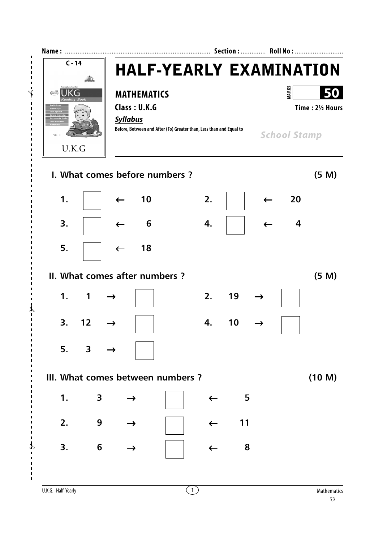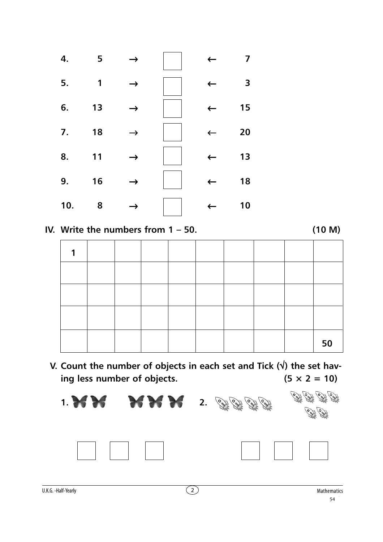

**IV. Write the numbers from 1 – 50. (10 M)**

|  |  |  |  | 50 |
|--|--|--|--|----|

**V. Count the number of objects in each set and Tick (**√**) the set hav**ing less number of objects.  $(5 \times 2 = 10)$